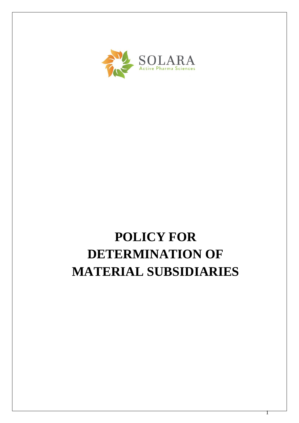

# **POLICY FOR DETERMINATION OF MATERIAL SUBSIDIARIES**

1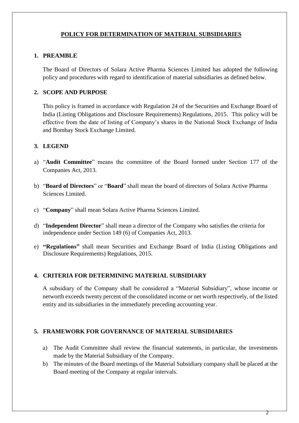## **POLICY FOR DETERMINATION OF MATERIAL SUBSIDIARIES**

## **1. PREAMBLE**

The Board of Directors of Solara Active Pharma Sciences Limited has adopted the following policy and procedures with regard to identification of material subsidiaries as defined below.

## **2. SCOPE AND PURPOSE**

This policy is framed in accordance with Regulation 24 of the Securities and Exchange Board of India (Listing Obligations and Disclosure Requirements) Regulations, 2015. This policy will be effective from the date of listing of Company's shares in the National Stock Exchange of India and Bombay Stock Exchange Limited.

## **3. LEGEND**

- a) "**Audit Committee**" means the committee of the Board formed under Section 177 of the Companies Act, 2013.
- b) "**Board of Directors**" or "**Board**" shall mean the board of directors of Solara Active Pharma Sciences Limited.
- c) "**Company**" shall mean Solara Active Pharma Sciences Limited.
- d) "**Independent Director**" shall mean a director of the Company who satisfies the criteria for independence under Section 149 (6) of Companies Act, 2013.
- e) **"Regulations"** shall mean Securities and Exchange Board of India (Listing Obligations and Disclosure Requirements) Regulations, 2015.

#### **4. CRITERIA FOR DETERMINING MATERIAL SUBSIDIARY**

A subsidiary of the Company shall be considered a "Material Subsidiary", whose income or networth exceeds twenty percent of the consolidated income or net worth respectively, of the listed entity and its subsidiaries in the immediately preceding accounting year.

#### **5. FRAMEWORK FOR GOVERNANCE OF MATERIAL SUBSIDIARIES**

- a) The Audit Committee shall review the financial statements, in particular, the investments made by the Material Subsidiary of the Company.
- b) The minutes of the Board meetings of the Material Subsidiary company shall be placed at the Board meeting of the Company at regular intervals.